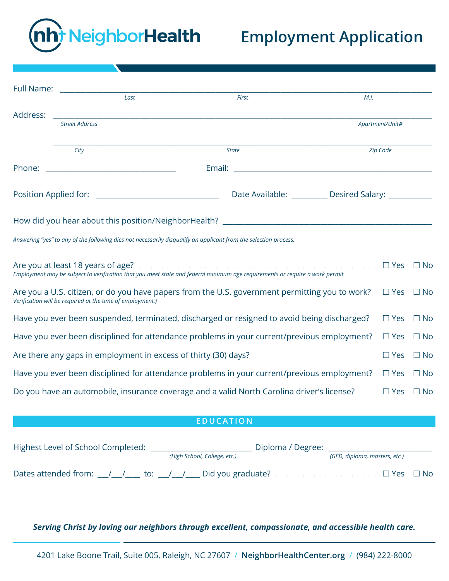

## **Employment Application**

|                                                                                                                           | Full Name: The contract of the contract of the contract of the contract of the contract of the contract of the |                                                                                                                                                                                                                                             |      |                      |  |  |
|---------------------------------------------------------------------------------------------------------------------------|----------------------------------------------------------------------------------------------------------------|---------------------------------------------------------------------------------------------------------------------------------------------------------------------------------------------------------------------------------------------|------|----------------------|--|--|
|                                                                                                                           | Last                                                                                                           | First                                                                                                                                                                                                                                       | M.I. |                      |  |  |
| Address:                                                                                                                  | <b>Street Address</b>                                                                                          |                                                                                                                                                                                                                                             |      | Apartment/Unit#      |  |  |
|                                                                                                                           | City                                                                                                           | <b>State</b>                                                                                                                                                                                                                                |      | Zip Code             |  |  |
| Phone:                                                                                                                    |                                                                                                                |                                                                                                                                                                                                                                             |      |                      |  |  |
|                                                                                                                           |                                                                                                                | Date Available: __________ Desired Salary: _________                                                                                                                                                                                        |      |                      |  |  |
|                                                                                                                           |                                                                                                                |                                                                                                                                                                                                                                             |      |                      |  |  |
|                                                                                                                           |                                                                                                                | Answering "yes" to any of the following dies not necessarily disqualify an applicant from the selection process.                                                                                                                            |      |                      |  |  |
|                                                                                                                           |                                                                                                                | Are you at least 18 years of age? All and a substitution of the contract of the set of the set of $\Box$ No<br>Employment may be subject to verification that you meet state and federal minimum age requirements or require a work permit. |      |                      |  |  |
|                                                                                                                           | Verification will be required at the time of employment.)                                                      | Are you a U.S. citizen, or do you have papers from the U.S. government permitting you to work?                                                                                                                                              |      | $\Box$ Yes $\Box$ No |  |  |
| Have you ever been suspended, terminated, discharged or resigned to avoid being discharged?<br>$\Box$ Yes $\Box$ No       |                                                                                                                |                                                                                                                                                                                                                                             |      |                      |  |  |
| Have you ever been disciplined for attendance problems in your current/previous employment?<br>$\square$ Yes<br>$\Box$ No |                                                                                                                |                                                                                                                                                                                                                                             |      |                      |  |  |
| Are there any gaps in employment in excess of thirty (30) days?<br>$\Box$ Yes                                             |                                                                                                                |                                                                                                                                                                                                                                             |      |                      |  |  |
| Have you ever been disciplined for attendance problems in your current/previous employment?<br>$\Box$ Yes $\Box$ No       |                                                                                                                |                                                                                                                                                                                                                                             |      |                      |  |  |
| Do you have an automobile, insurance coverage and a valid North Carolina driver's license?<br>$\Box$ Yes $\Box$ No        |                                                                                                                |                                                                                                                                                                                                                                             |      |                      |  |  |
|                                                                                                                           |                                                                                                                |                                                                                                                                                                                                                                             |      |                      |  |  |

## **EDUCATION**

| Highest Level of School Completed: | Diploma / Degree:                                                                    |                               |  |
|------------------------------------|--------------------------------------------------------------------------------------|-------------------------------|--|
|                                    | (High School, College, etc.)                                                         | (GED, diploma, masters, etc.) |  |
|                                    | Dates attended from: $\frac{1}{\sqrt{2}}$ to: $\frac{1}{\sqrt{2}}$ Did you graduate? |                               |  |

*Serving Christ by loving our neighbors through excellent, compassionate, and accessible health care.*

4201 Lake Boone Trail, Suite 005, Raleigh, NC 27607 / **NeighborHealthCenter.org** / (984) 222-8000